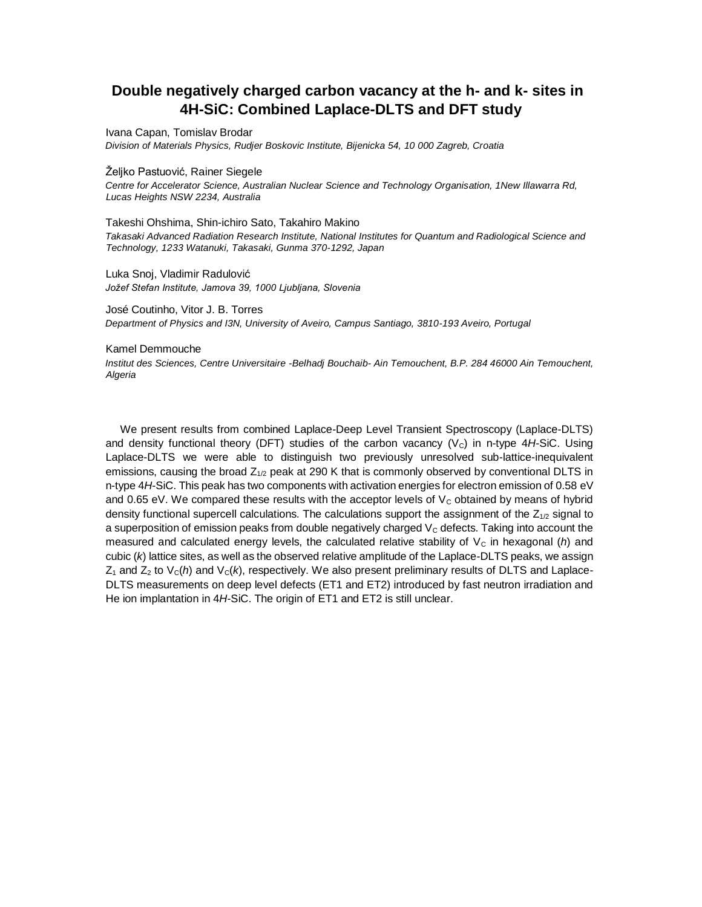# **Double negatively charged carbon vacancy at the h- and k- sites in 4H-SiC: Combined Laplace-DLTS and DFT study**

Ivana Capan, Tomislav Brodar

*Division of Materials Physics, Rudjer Boskovic Institute, Bijenicka 54, 10 000 Zagreb, Croatia* 

Željko Pastuović, Rainer Siegele

*Centre for Accelerator Science, Australian Nuclear Science and Technology Organisation, 1New Illawarra Rd, Lucas Heights NSW 2234, Australia* 

Takeshi Ohshima, Shin-ichiro Sato, Takahiro Makino *Takasaki Advanced Radiation Research Institute, National Institutes for Quantum and Radiological Science and Technology, 1233 Watanuki, Takasaki, Gunma 370-1292, Japan* 

Luka Snoj, Vladimir Radulović *Jožef Stefan Institute, Jamova 39, 1000 Ljubljana, Slovenia*

José Coutinho, Vitor J. B. Torres *Department of Physics and I3N, University of Aveiro, Campus Santiago, 3810-193 Aveiro, Portugal* 

#### Kamel Demmouche

*Institut des Sciences, Centre Universitaire -Belhadj Bouchaib- Ain Temouchent, B.P. 284 46000 Ain Temouchent, Algeria*

We present results from combined Laplace-Deep Level Transient Spectroscopy (Laplace-DLTS) and density functional theory (DFT) studies of the carbon vacancy (V<sub>c</sub>) in n-type 4H-SiC. Using Laplace-DLTS we were able to distinguish two previously unresolved sub-lattice-inequivalent emissions, causing the broad  $Z_{1/2}$  peak at 290 K that is commonly observed by conventional DLTS in n-type 4*H*-SiC. This peak has two components with activation energies for electron emission of 0.58 eV and 0.65 eV. We compared these results with the acceptor levels of  $V_c$  obtained by means of hybrid density functional supercell calculations. The calculations support the assignment of the  $Z_{1/2}$  signal to a superposition of emission peaks from double negatively charged  $V<sub>C</sub>$  defects. Taking into account the measured and calculated energy levels, the calculated relative stability of  $V_c$  in hexagonal (*h*) and cubic (*k*) lattice sites, as well as the observed relative amplitude of the Laplace-DLTS peaks, we assign  $Z_1$  and  $Z_2$  to  $V_c(h)$  and  $V_c(k)$ , respectively. We also present preliminary results of DLTS and Laplace-DLTS measurements on deep level defects (ET1 and ET2) introduced by fast neutron irradiation and He ion implantation in 4H-SiC. The origin of ET1 and ET2 is still unclear.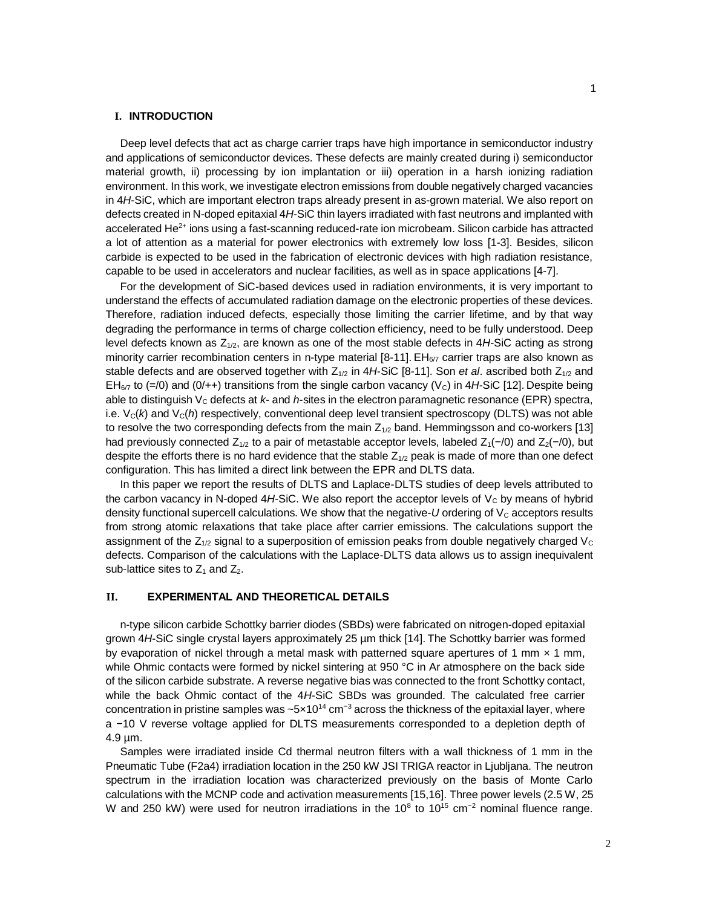## **I. INTRODUCTION**

Deep level defects that act as charge carrier traps have high importance in semiconductor industry and applications of semiconductor devices. These defects are mainly created during i) semiconductor material growth, ii) processing by ion implantation or iii) operation in a harsh ionizing radiation environment. In this work, we investigate electron emissions from double negatively charged vacancies in 4*H*-SiC, which are important electron traps already present in as-grown material. We also report on defects created in N-doped epitaxial 4*H*-SiC thin layers irradiated with fast neutrons and implanted with accelerated He<sup>2+</sup> ions using a fast-scanning reduced-rate ion microbeam. Silicon carbide has attracted a lot of attention as a material for power electronics with extremely low loss [1-3]. Besides, silicon carbide is expected to be used in the fabrication of electronic devices with high radiation resistance, capable to be used in accelerators and nuclear facilities, as well as in space applications [4-7].

For the development of SiC-based devices used in radiation environments, it is very important to understand the effects of accumulated radiation damage on the electronic properties of these devices. Therefore, radiation induced defects, especially those limiting the carrier lifetime, and by that way degrading the performance in terms of charge collection efficiency, need to be fully understood. Deep level defects known as  $Z_{1/2}$ , are known as one of the most stable defects in 4*H*-SiC acting as strong minority carrier recombination centers in n-type material [8-11]. EH<sub>6/7</sub> carrier traps are also known as stable defects and are observed together with  $Z_{1/2}$  in  $4H$ -SiC [8-11]. Son *et al.* ascribed both  $Z_{1/2}$  and  $EH_{6/7}$  to (=/0) and (0/++) transitions from the single carbon vacancy (V<sub>c</sub>) in 4*H*-SiC [12]. Despite being able to distinguish V<sub>c</sub> defects at *k*- and *h*-sites in the electron paramagnetic resonance (EPR) spectra, i.e.  $V_c(k)$  and  $V_c(h)$  respectively, conventional deep level transient spectroscopy (DLTS) was not able to resolve the two corresponding defects from the main  $Z_{1/2}$  band. Hemmingsson and co-workers [13] had previously connected  $Z_{1/2}$  to a pair of metastable acceptor levels, labeled  $Z_1(-/0)$  and  $Z_2(-/0)$ , but despite the efforts there is no hard evidence that the stable  $Z_{1/2}$  peak is made of more than one defect configuration. This has limited a direct link between the EPR and DLTS data.

In this paper we report the results of DLTS and Laplace-DLTS studies of deep levels attributed to the carbon vacancy in N-doped  $4H$ -SiC. We also report the acceptor levels of  $V_c$  by means of hybrid density functional supercell calculations. We show that the negative-*U* ordering of V<sub>C</sub> acceptors results from strong atomic relaxations that take place after carrier emissions. The calculations support the assignment of the  $Z_{1/2}$  signal to a superposition of emission peaks from double negatively charged  $V_c$ defects. Comparison of the calculations with the Laplace-DLTS data allows us to assign inequivalent sub-lattice sites to  $Z_1$  and  $Z_2$ .

#### **II. EXPERIMENTAL AND THEORETICAL DETAILS**

n-type silicon carbide Schottky barrier diodes (SBDs) were fabricated on nitrogen-doped epitaxial grown 4*H*-SiC single crystal layers approximately 25 µm thick [14]. The Schottky barrier was formed by evaporation of nickel through a metal mask with patterned square apertures of 1 mm  $\times$  1 mm, while Ohmic contacts were formed by nickel sintering at 950 °C in Ar atmosphere on the back side of the silicon carbide substrate. A reverse negative bias was connected to the front Schottky contact, while the back Ohmic contact of the 4*H*-SiC SBDs was grounded. The calculated free carrier concentration in pristine samples was ~ $5\times10^{14}$  cm<sup>-3</sup> across the thickness of the epitaxial layer, where a −10 V reverse voltage applied for DLTS measurements corresponded to a depletion depth of 4.9 µm.

Samples were irradiated inside Cd thermal neutron filters with a wall thickness of 1 mm in the Pneumatic Tube (F2a4) irradiation location in the 250 kW JSI TRIGA reactor in Ljubljana. The neutron spectrum in the irradiation location was characterized previously on the basis of Monte Carlo calculations with the MCNP code and activation measurements [15,16]. Three power levels (2.5 W, 25 W and 250 kW) were used for neutron irradiations in the 10<sup>8</sup> to 10<sup>15</sup> cm<sup>-2</sup> nominal fluence range.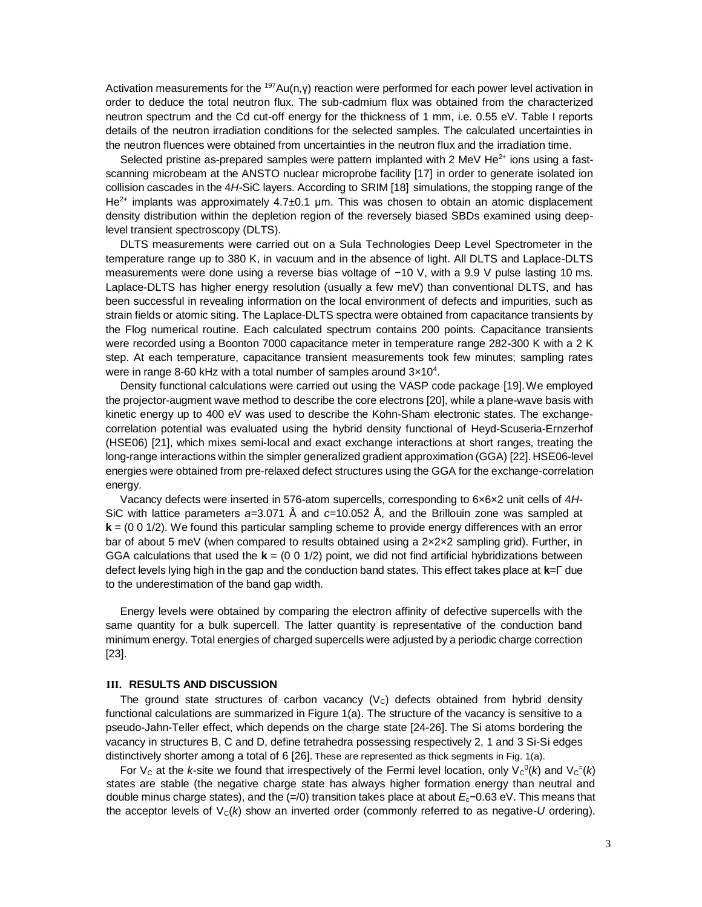Activation measurements for the <sup>197</sup>Au(n,γ) reaction were performed for each power level activation in order to deduce the total neutron flux. The sub-cadmium flux was obtained from the characterized neutron spectrum and the Cd cut-off energy for the thickness of 1 mm, i.e. 0.55 eV. Table I reports details of the neutron irradiation conditions for the selected samples. The calculated uncertainties in the neutron fluences were obtained from uncertainties in the neutron flux and the irradiation time.

Selected pristine as-prepared samples were pattern implanted with 2 MeV He<sup>2+</sup> ions using a fastscanning microbeam at the ANSTO nuclear microprobe facility [17] in order to generate isolated ion collision cascades in the 4*H-*SiC layers. According to SRIM [18] simulations, the stopping range of the  $He<sup>2+</sup>$  implants was approximately 4.7 $\pm$ 0.1 µm. This was chosen to obtain an atomic displacement density distribution within the depletion region of the reversely biased SBDs examined using deeplevel transient spectroscopy (DLTS).

DLTS measurements were carried out on a Sula Technologies Deep Level Spectrometer in the temperature range up to 380 K, in vacuum and in the absence of light. All DLTS and Laplace-DLTS measurements were done using a reverse bias voltage of −10 V, with a 9.9 V pulse lasting 10 ms. Laplace-DLTS has higher energy resolution (usually a few meV) than conventional DLTS, and has been successful in revealing information on the local environment of defects and impurities, such as strain fields or atomic siting. The Laplace-DLTS spectra were obtained from capacitance transients by the Flog numerical routine. Each calculated spectrum contains 200 points. Capacitance transients were recorded using a Boonton 7000 capacitance meter in temperature range 282-300 K with a 2 K step. At each temperature, capacitance transient measurements took few minutes; sampling rates were in range 8-60 kHz with a total number of samples around  $3 \times 10^4$ .

Density functional calculations were carried out using the VASP code package [19].We employed the projector-augment wave method to describe the core electrons [20], while a plane-wave basis with kinetic energy up to 400 eV was used to describe the Kohn-Sham electronic states. The exchangecorrelation potential was evaluated using the hybrid density functional of Heyd-Scuseria-Ernzerhof (HSE06) [21], which mixes semi-local and exact exchange interactions at short ranges, treating the long-range interactions within the simpler generalized gradient approximation (GGA) [22]. HSE06-level energies were obtained from pre-relaxed defect structures using the GGA for the exchange-correlation energy.

Vacancy defects were inserted in 576-atom supercells, corresponding to 6×6×2 unit cells of 4*H*-SiC with lattice parameters *a*=3.071 Å and *c*=10.052 Å, and the Brillouin zone was sampled at **k** = (0 0 1/2). We found this particular sampling scheme to provide energy differences with an error bar of about 5 meV (when compared to results obtained using a  $2 \times 2 \times 2$  sampling grid). Further, in GGA calculations that used the  $\mathbf{k} = (0 \ 0 \ 1/2)$  point, we did not find artificial hybridizations between defect levels lying high in the gap and the conduction band states. This effect takes place at **k**=Γ due to the underestimation of the band gap width.

Energy levels were obtained by comparing the electron affinity of defective supercells with the same quantity for a bulk supercell. The latter quantity is representative of the conduction band minimum energy. Total energies of charged supercells were adjusted by a periodic charge correction [23].

#### **III. RESULTS AND DISCUSSION**

The ground state structures of carbon vacancy  $(V<sub>C</sub>)$  defects obtained from hybrid density functional calculations are summarized in Figure 1(a). The structure of the vacancy is sensitive to a pseudo-Jahn-Teller effect, which depends on the charge state [24-26]. The Si atoms bordering the vacancy in structures B, C and D, define tetrahedra possessing respectively 2, 1 and 3 Si-Si edges distinctively shorter among a total of 6 [26]. These are represented as thick segments in Fig. 1(a).

For V<sub>c</sub> at the *k*-site we found that irrespectively of the Fermi level location, only V<sub>c</sub><sup>o</sup>(*k*) and V<sub>c</sub><sup> $=$ </sup>(*k*) states are stable (the negative charge state has always higher formation energy than neutral and double minus charge states), and the (=/0) transition takes place at about *E*c−0.63 eV. This means that the acceptor levels of  $V_c(k)$  show an inverted order (commonly referred to as negative-*U* ordering).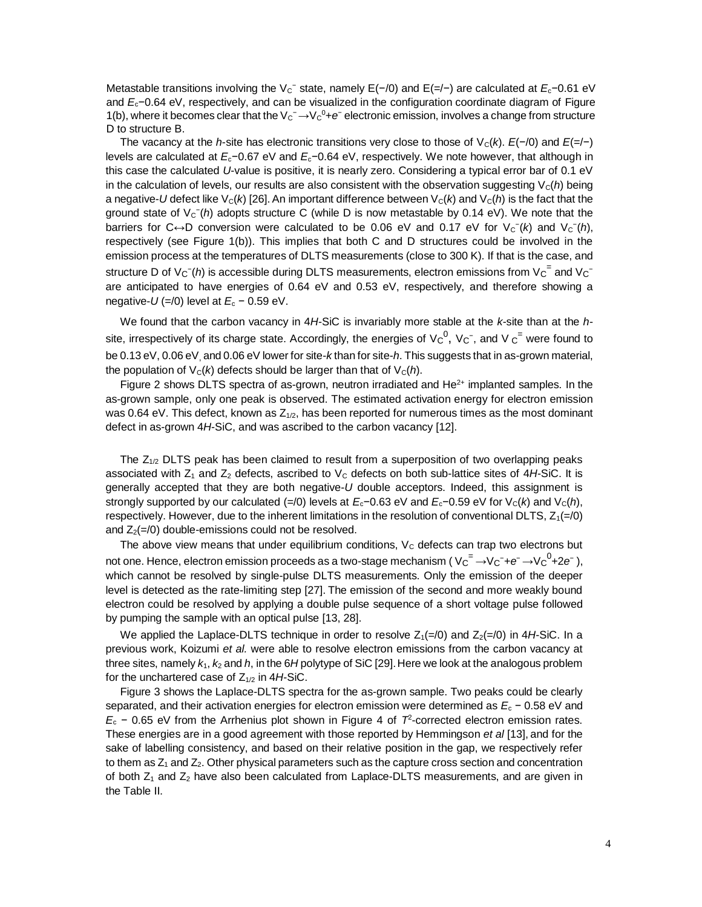Metastable transitions involving the V<sub>C</sub><sup>-</sup> state, namely E(-/0) and E(=/−) are calculated at *E*<sub>c</sub>−0.61 eV and *E*c−0.64 eV, respectively, and can be visualized in the configuration coordinate diagram of Figure 1(b), where it becomes clear that the  $V_C^- \rightarrow V_C^0 + e^-$  electronic emission, involves a change from structure D to structure B.

The vacancy at the *h*-site has electronic transitions very close to those of  $V_c(k)$ .  $E(-/0)$  and  $E(-/-)$ levels are calculated at *E*c−0.67 eV and *E*c−0.64 eV, respectively. We note however, that although in this case the calculated *U*-value is positive, it is nearly zero. Considering a typical error bar of 0.1 eV in the calculation of levels, our results are also consistent with the observation suggesting  $V_c(h)$  being a negative-*U* defect like  $V_c(k)$  [26]. An important difference between  $V_c(k)$  and  $V_c(h)$  is the fact that the ground state of V<sub>C</sub><sup>-</sup>(h) adopts structure C (while D is now metastable by 0.14 eV). We note that the barriers for C $\leftrightarrow$ D conversion were calculated to be 0.06 eV and 0.17 eV for V<sub>C</sub><sup>-</sup>(k) and V<sub>C</sub><sup>-</sup>(h), respectively (see Figure 1(b)). This implies that both C and D structures could be involved in the emission process at the temperatures of DLTS measurements (close to 300 K). If that is the case, and structure D of V<sub>C</sub><sup>-</sup>(h) is accessible during DLTS measurements, electron emissions from V<sub>C</sub><sup>=</sup> and V<sub>C</sub><sup>-</sup> are anticipated to have energies of 0.64 eV and 0.53 eV, respectively, and therefore showing a negative- $U$  (=/0) level at  $E_c$  – 0.59 eV.

We found that the carbon vacancy in 4*H*-SiC is invariably more stable at the *k*-site than at the *h*site, irrespectively of its charge state. Accordingly, the energies of V $c^0$ , V $c^-$ , and V  $c^=$  were found to be 0.13 eV, 0.06 eV, and 0.06 eV lower for site-*k* than for site-*h*. This suggests that in as-grown material, the population of  $V_c(k)$  defects should be larger than that of  $V_c(h)$ .

Figure 2 shows DLTS spectra of as-grown, neutron irradiated and  $He<sup>2+</sup>$  implanted samples. In the as-grown sample, only one peak is observed. The estimated activation energy for electron emission was 0.64 eV. This defect, known as  $Z_{1/2}$ , has been reported for numerous times as the most dominant defect in as-grown 4*H*-SiC, and was ascribed to the carbon vacancy [12].

The  $Z_{1/2}$  DLTS peak has been claimed to result from a superposition of two overlapping peaks associated with  $Z_1$  and  $Z_2$  defects, ascribed to  $V_c$  defects on both sub-lattice sites of 4*H*-SiC. It is generally accepted that they are both negative-*U* double acceptors. Indeed, this assignment is strongly supported by our calculated (=/0) levels at  $E_c$ −0.63 eV and  $E_c$ −0.59 eV for V<sub>C</sub>(*k*) and V<sub>C</sub>(*h*), respectively. However, due to the inherent limitations in the resolution of conventional DLTS,  $Z_1(=0)$ and  $Z_2(=\!/0)$  double-emissions could not be resolved.

The above view means that under equilibrium conditions,  $V<sub>C</sub>$  defects can trap two electrons but not one. Hence, electron emission proceeds as a two-stage mechanism ( Vc<sup>=</sup> →Vc<sup>-</sup>+e<sup>-</sup> →Vc<sup>0</sup>+2e<sup>-</sup> ), which cannot be resolved by single-pulse DLTS measurements. Only the emission of the deeper level is detected as the rate-limiting step [27]. The emission of the second and more weakly bound electron could be resolved by applying a double pulse sequence of a short voltage pulse followed by pumping the sample with an optical pulse [13, 28].

We applied the Laplace-DLTS technique in order to resolve  $Z_1(=\gamma/0)$  and  $Z_2(=\gamma/0)$  in 4*H*-SiC. In a previous work, Koizumi *et al.* were able to resolve electron emissions from the carbon vacancy at three sites, namely  $k_1$ ,  $k_2$  and  $h$ , in the  $6H$  polytype of SiC [29]. Here we look at the analogous problem for the unchartered case of  $Z_{1/2}$  in 4*H*-SiC.

Figure 3 shows the Laplace-DLTS spectra for the as-grown sample. Two peaks could be clearly separated, and their activation energies for electron emission were determined as  $E_c$  − 0.58 eV and  $E_c$  − 0.65 eV from the Arrhenius plot shown in Figure 4 of  $7^2$ -corrected electron emission rates. These energies are in a good agreement with those reported by Hemmingson *et al* [13], and for the sake of labelling consistency, and based on their relative position in the gap, we respectively refer to them as  $Z_1$  and  $Z_2$ . Other physical parameters such as the capture cross section and concentration of both  $Z_1$  and  $Z_2$  have also been calculated from Laplace-DLTS measurements, and are given in the Table II.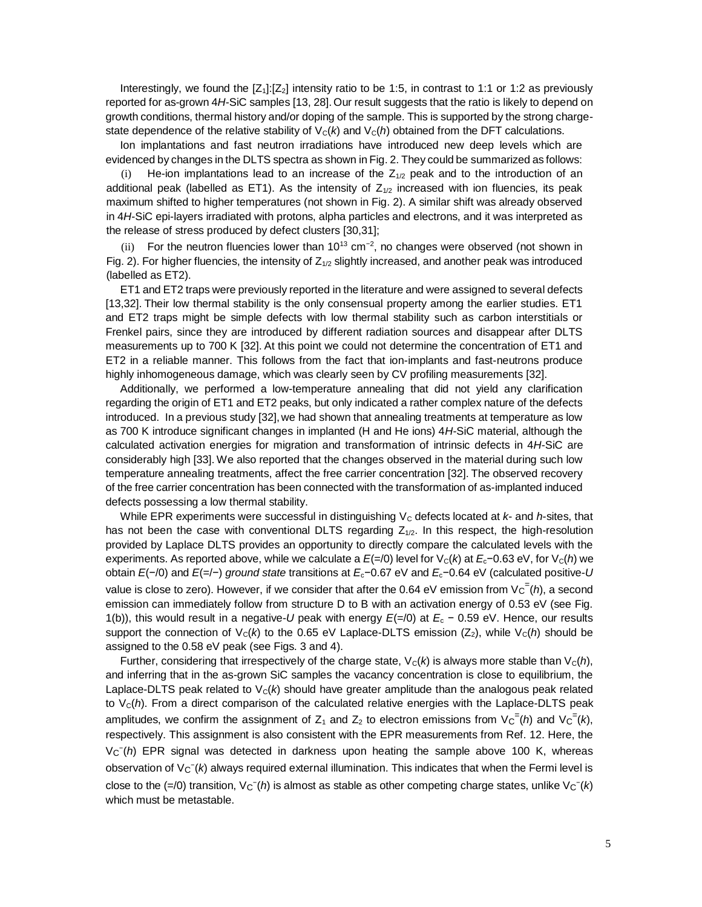Interestingly, we found the  $[Z_1][Z_2]$  intensity ratio to be 1:5, in contrast to 1:1 or 1:2 as previously reported for as-grown 4*H*-SiC samples [13, 28].Our result suggests that the ratio is likely to depend on growth conditions, thermal history and/or doping of the sample. This is supported by the strong chargestate dependence of the relative stability of  $V_c(k)$  and  $V_c(h)$  obtained from the DFT calculations.

Ion implantations and fast neutron irradiations have introduced new deep levels which are evidenced by changes in the DLTS spectra as shown in Fig. 2. They could be summarized as follows:

(i) He-ion implantations lead to an increase of the  $Z_{1/2}$  peak and to the introduction of an additional peak (labelled as ET1). As the intensity of  $Z_{1/2}$  increased with ion fluencies, its peak maximum shifted to higher temperatures (not shown in Fig. 2). A similar shift was already observed in 4*H*-SiC epi-layers irradiated with protons, alpha particles and electrons, and it was interpreted as the release of stress produced by defect clusters [30,31];

(ii) For the neutron fluencies lower than  $10^{13}$  cm<sup>-2</sup>, no changes were observed (not shown in Fig. 2). For higher fluencies, the intensity of  $Z_{1/2}$  slightly increased, and another peak was introduced (labelled as ET2).

ET1 and ET2 traps were previously reported in the literature and were assigned to several defects [13,32]. Their low thermal stability is the only consensual property among the earlier studies. ET1 and ET2 traps might be simple defects with low thermal stability such as carbon interstitials or Frenkel pairs, since they are introduced by different radiation sources and disappear after DLTS measurements up to 700 K [32]. At this point we could not determine the concentration of ET1 and ET2 in a reliable manner. This follows from the fact that ion-implants and fast-neutrons produce highly inhomogeneous damage, which was clearly seen by CV profiling measurements [32].

Additionally, we performed a low-temperature annealing that did not yield any clarification regarding the origin of ET1 and ET2 peaks, but only indicated a rather complex nature of the defects introduced. In a previous study [32], we had shown that annealing treatments at temperature as low as 700 K introduce significant changes in implanted (H and He ions) 4*H*-SiC material, although the calculated activation energies for migration and transformation of intrinsic defects in 4*H*-SiC are considerably high [33]. We also reported that the changes observed in the material during such low temperature annealing treatments, affect the free carrier concentration [32]. The observed recovery of the free carrier concentration has been connected with the transformation of as-implanted induced defects possessing a low thermal stability.

While EPR experiments were successful in distinguishing  $V_c$  defects located at  $k$ - and  $h$ -sites, that has not been the case with conventional DLTS regarding  $Z_{1/2}$ . In this respect, the high-resolution provided by Laplace DLTS provides an opportunity to directly compare the calculated levels with the experiments. As reported above, while we calculate a *E*(=/0) level for V<sub>c</sub>(*k*) at *E*<sub>c</sub>−0.63 eV, for V<sub>c</sub>(*h*) we obtain *E*(−/0) and *E*(=/−) *ground state* transitions at *E*c−0.67 eV and *E*c−0.64 eV (calculated positive-*U*  value is close to zero). However, if we consider that after the 0.64 eV emission from V<sub>C</sub><sup>=</sup>(h), a second emission can immediately follow from structure D to B with an activation energy of 0.53 eV (see Fig. 1(b)), this would result in a negative-*U* peak with energy *E*(=/0) at *E*<sup>c</sup> − 0.59 eV. Hence, our results support the connection of  $V_c(k)$  to the 0.65 eV Laplace-DLTS emission ( $Z_2$ ), while  $V_c(h)$  should be assigned to the 0.58 eV peak (see Figs. 3 and 4).

Further, considering that irrespectively of the charge state,  $V_c(k)$  is always more stable than  $V_c(h)$ , and inferring that in the as-grown SiC samples the vacancy concentration is close to equilibrium, the Laplace-DLTS peak related to  $V<sub>C</sub>(k)$  should have greater amplitude than the analogous peak related to  $V<sub>C</sub>(h)$ . From a direct comparison of the calculated relative energies with the Laplace-DLTS peak amplitudes, we confirm the assignment of Z<sub>1</sub> and Z<sub>2</sub> to electron emissions from  $V_C^-(h)$  and  $V_C^=(k)$ , respectively. This assignment is also consistent with the EPR measurements from Ref. 12. Here, the V<sub>C</sub><sup>-</sup>(h) EPR signal was detected in darkness upon heating the sample above 100 K, whereas observation of V<sub>C</sub><sup>-</sup>(k) always required external illumination. This indicates that when the Fermi level is close to the  $(=/0)$  transition, V<sub>C</sub><sup>-</sup>(h) is almost as stable as other competing charge states, unlike V<sub>C</sub><sup>-</sup>(k) which must be metastable.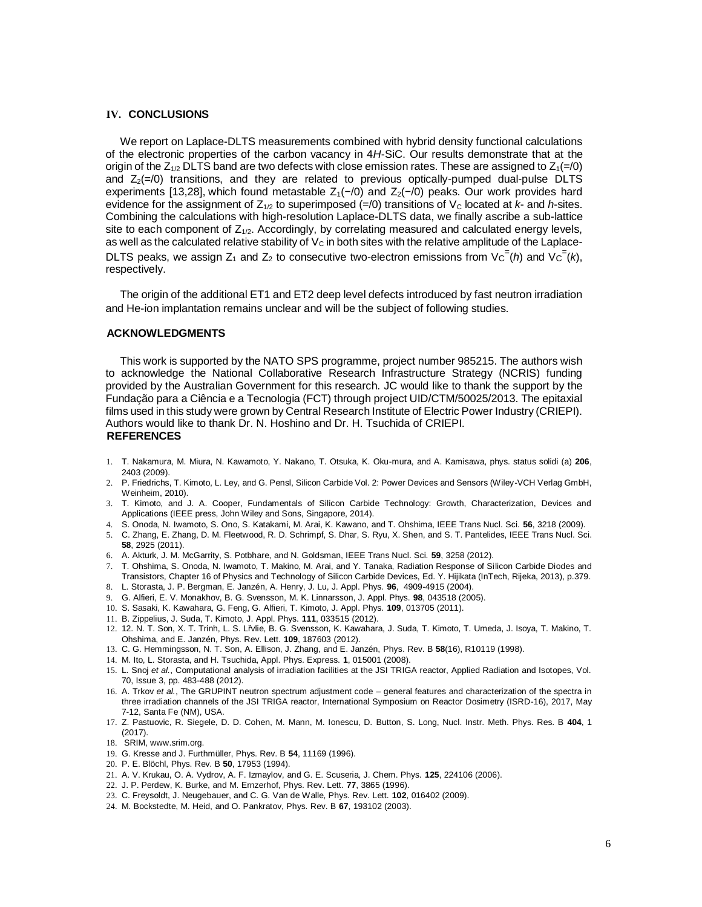## **IV. CONCLUSIONS**

We report on Laplace-DLTS measurements combined with hybrid density functional calculations of the electronic properties of the carbon vacancy in 4*H*-SiC. Our results demonstrate that at the origin of the  $Z_{1/2}$  DLTS band are two defects with close emission rates. These are assigned to  $Z_1(=0)$ and  $Z_2(=0)$  transitions, and they are related to previous optically-pumped dual-pulse DLTS experiments [13,28], which found metastable  $Z_1(-/0)$  and  $Z_2(-/0)$  peaks. Our work provides hard evidence for the assignment of  $Z_{1/2}$  to superimposed (=/0) transitions of  $V_c$  located at  $k$ - and  $h$ -sites. Combining the calculations with high-resolution Laplace-DLTS data, we finally ascribe a sub-lattice site to each component of  $Z_{1/2}$ . Accordingly, by correlating measured and calculated energy levels, as well as the calculated relative stability of  $V<sub>C</sub>$  in both sites with the relative amplitude of the Laplace-DLTS peaks, we assign  $Z_1$  and  $Z_2$  to consecutive two-electron emissions from  $V_C^=(h)$  and  $V_C^=(k)$ , respectively.

The origin of the additional ET1 and ET2 deep level defects introduced by fast neutron irradiation and He-ion implantation remains unclear and will be the subject of following studies.

#### **ACKNOWLEDGMENTS**

This work is supported by the NATO SPS programme, project number 985215. The authors wish to acknowledge the National Collaborative Research Infrastructure Strategy (NCRIS) funding provided by the Australian Government for this research. JC would like to thank the support by the Fundação para a Ciência e a Tecnologia (FCT) through project UID/CTM/50025/2013. The epitaxial films used in this study were grown by Central Research Institute of Electric Power Industry (CRIEPI). Authors would like to thank Dr. N. Hoshino and Dr. H. Tsuchida of CRIEPI. **REFERENCES** 

- 1. T. Nakamura, M. Miura, N. Kawamoto, Y. Nakano, T. Otsuka, K. Oku-mura, and A. Kamisawa, phys. status solidi (a) **206**, 2403 (2009).
- 2. P. Friedrichs, T. Kimoto, L. Ley, and G. Pensl, Silicon Carbide Vol. 2: Power Devices and Sensors (Wiley-VCH Verlag GmbH, Weinheim, 2010).
- 3. T. Kimoto, and J. A. Cooper, Fundamentals of Silicon Carbide Technology: Growth, Characterization, Devices and Applications (IEEE press, John Wiley and Sons, Singapore, 2014).
- 4. S. Onoda, N. Iwamoto, S. Ono, S. Katakami, M. Arai, K. Kawano, and T. Ohshima, IEEE Trans Nucl. Sci. **56**, 3218 (2009).
- 5. C. Zhang, E. Zhang, D. M. Fleetwood, R. D. Schrimpf, S. Dhar, S. Ryu, X. Shen, and S. T. Pantelides, IEEE Trans Nucl. Sci. **58**, 2925 (2011).
- 6. A. Akturk, J. M. McGarrity, S. Potbhare, and N. Goldsman, IEEE Trans Nucl. Sci. **59**, 3258 (2012).
- 7. T. Ohshima, S. Onoda, N. Iwamoto, T. Makino, M. Arai, and Y. Tanaka, Radiation Response of Silicon Carbide Diodes and Transistors, Chapter 16 of Physics and Technology of Silicon Carbide Devices, Ed. Y. Hijikata (InTech, Rijeka, 2013), p.379. 8. L. Storasta, J. P. Bergman, E. Janzén, A. Henry, J. Lu, J. Appl. Phys. **96**, 4909-4915 (2004).
- 9. G. Alfieri, E. V. Monakhov, B. G. Svensson, M. K. Linnarsson, J. Appl. Phys. **98**, 043518 (2005).
- 10. S. Sasaki, K. Kawahara, G. Feng, G. Alfieri, T. Kimoto, J. Appl. Phys. **109**, 013705 (2011).
- 11. B. Zippelius, J. Suda, T. Kimoto, J. Appl. Phys. **111**, 033515 (2012).
- 12. 12. N. T. Son, X. T. Trinh, L. S. Lřvlie, B. G. Svensson, K. Kawahara, J. Suda, T. Kimoto, T. Umeda, J. Isoya, T. Makino, T. Ohshima, and E. Janzén, Phys. Rev. Lett. **109**, 187603 (2012).
- 13. C. G. Hemmingsson, N. T. Son, A. Ellison, J. Zhang, and E. Janzén, Phys. Rev. B **58**(16), R10119 (1998).
- 14. M. Ito, L. Storasta, and H. Tsuchida, Appl. Phys. Express. **1**, 015001 (2008).
- 15. L. Snoj *et al.*, Computational analysis of irradiation facilities at the JSI TRIGA reactor, Applied Radiation and Isotopes, Vol. 70, Issue 3, pp. 483-488 (2012).
- 16. A. Trkov *et al.*, The GRUPINT neutron spectrum adjustment code general features and characterization of the spectra in three irradiation channels of the JSI TRIGA reactor, International Symposium on Reactor Dosimetry (ISRD-16), 2017, May 7-12, Santa Fe (NM), USA.
- 17. Z. Pastuovic, R. Siegele, D. D. Cohen, M. Mann, M. Ionescu, D. Button, S. Long, Nucl. Instr. Meth. Phys. Res. B **404**, 1 (2017).
- 18. SRIM, www.srim.org.
- 19. G. Kresse and J. Furthmüller, Phys. Rev. B **54**, 11169 (1996).
- 20. P. E. Blöchl, Phys. Rev. B **50**, 17953 (1994).
- 21. A. V. Krukau, O. A. Vydrov, A. F. Izmaylov, and G. E. Scuseria, J. Chem. Phys. **125**, 224106 (2006).
- 22. J. P. Perdew, K. Burke, and M. Ernzerhof, Phys. Rev. Lett. **77**, 3865 (1996).
- 23. C. Freysoldt, J. Neugebauer, and C. G. Van de Walle, Phys. Rev. Lett. **102**, 016402 (2009).
- 24. M. Bockstedte, M. Heid, and O. Pankratov, Phys. Rev. B **67**, 193102 (2003).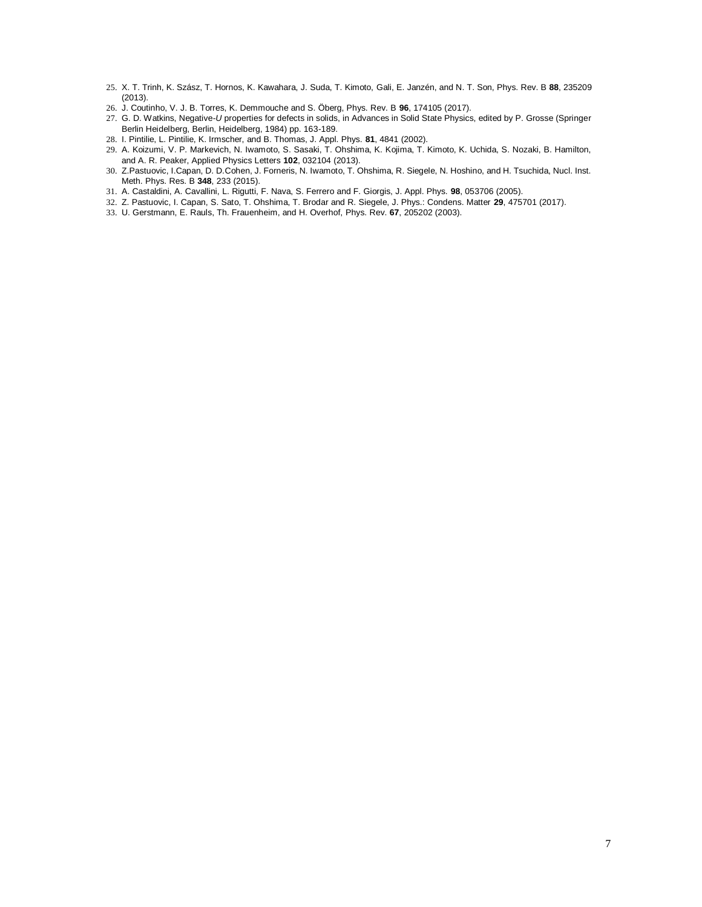- 25. X. T. Trinh, K. Szász, T. Hornos, K. Kawahara, J. Suda, T. Kimoto, Gali, E. Janzén, and N. T. Son, Phys. Rev. B **88**, 235209 (2013).
- 26. J. Coutinho, V. J. B. Torres, K. Demmouche and S. Öberg, Phys. Rev. B **96**, 174105 (2017).
- 27. G. D. Watkins, Negative-*U* properties for defects in solids, in Advances in Solid State Physics, edited by P. Grosse (Springer Berlin Heidelberg, Berlin, Heidelberg, 1984) pp. 163-189.
- 28. I. Pintilie, L. Pintilie, K. Irmscher, and B. Thomas, J. Appl. Phys. **81**, 4841 (2002).
- 29. A. Koizumi, V. P. Markevich, N. Iwamoto, S. Sasaki, T. Ohshima, K. Kojima, T. Kimoto, K. Uchida, S. Nozaki, B. Hamilton, and A. R. Peaker, Applied Physics Letters **102**, 032104 (2013).
- 30. Z.Pastuovic, I.Capan, D. D.Cohen, J. Forneris, N. Iwamoto, T. Ohshima, R. Siegele, N. Hoshino, and H. Tsuchida, Nucl. Inst. Meth. Phys. Res. B **348**, 233 (2015).
- 31. A. Castaldini, A. Cavallini, L. Rigutti, F. Nava, S. Ferrero and F. Giorgis, J. Appl. Phys. **98**, 053706 (2005).
- 32. Z. Pastuovic, I. Capan, S. Sato, T. Ohshima, T. Brodar and R. Siegele, J. Phys.: Condens. Matter **29**, 475701 (2017).
- 33. U. Gerstmann, E. Rauls, Th. Frauenheim, and H. Overhof, Phys. Rev. **67**, 205202 (2003).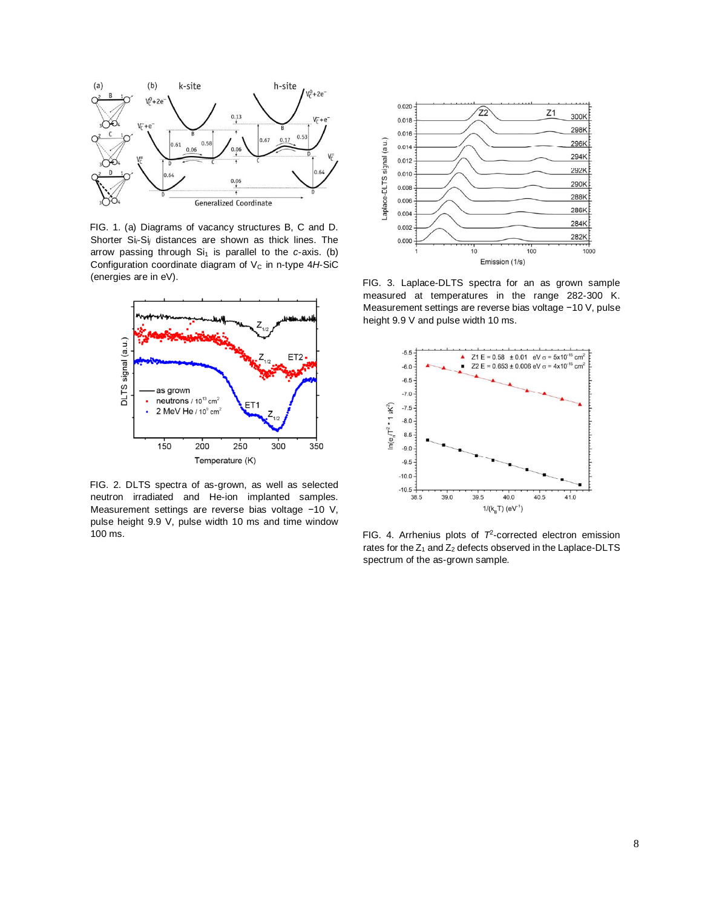

FIG. 1. (a) Diagrams of vacancy structures B, C and D. Shorter Si-Si<sub>j</sub> distances are shown as thick lines. The arrow passing through Si<sub>1</sub> is parallel to the *c*-axis. (b) Configuration coordinate diagram of V<sub>c</sub> in n-type 4H-SiC (energies are in eV).



FIG. 2. DLTS spectra of as-grown, as well as selected neutron irradiated and He-ion implanted samples. Measurement settings are reverse bias voltage −10 V, pulse height 9.9 V, pulse width 10 ms and time window 100 ms.



FIG. 3. Laplace-DLTS spectra for an as grown sample measured at temperatures in the range 282-300 K. Measurement settings are reverse bias voltage −10 V, pulse height 9.9 V and pulse width 10 ms.



FIG. 4. Arrhenius plots of  $7<sup>2</sup>$ -corrected electron emission rates for the  $Z_1$  and  $Z_2$  defects observed in the Laplace-DLTS spectrum of the as-grown sample.